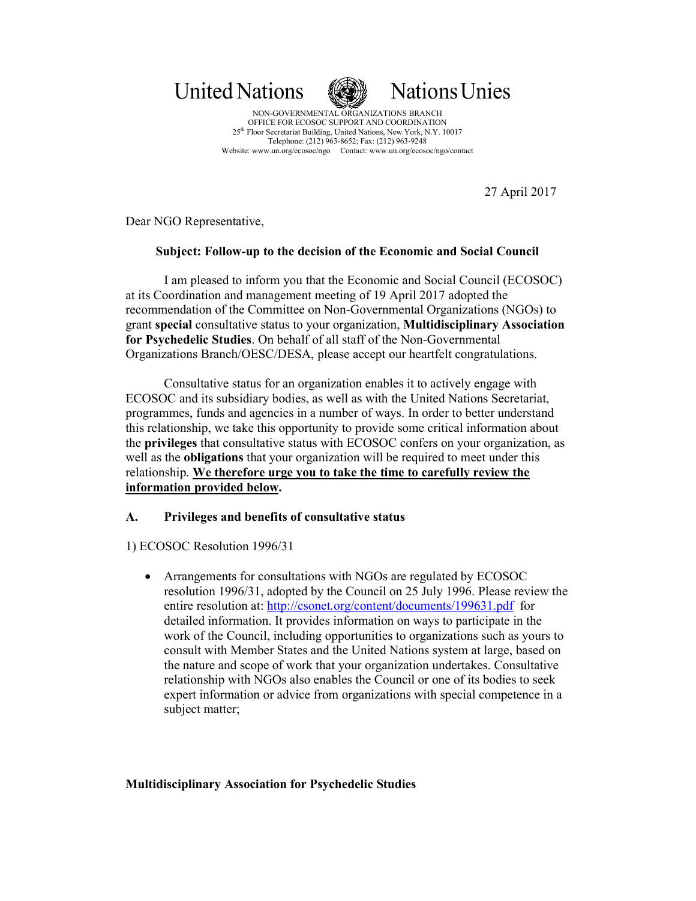United Nations **National Nations** United Nations



NON-GOVERNMENTAL ORGANIZATIONS BRANCH OFFICE FOR ECOSOC SUPPORT AND COORDINATION 25th Floor Secretariat Building, United Nations, New York, N.Y. 10017 Telephone: (212) 963-8652; Fax: (212) 963-9248 Website: www.un.org/ecosoc/ngo Contact: www.un.org/ecosoc/ngo/contact

27 April 2017

Dear NGO Representative,

# **Subject: Follow-up to the decision of the Economic and Social Council**

I am pleased to inform you that the Economic and Social Council (ECOSOC) at its Coordination and management meeting of 19 April 2017 adopted the recommendation of the Committee on Non-Governmental Organizations (NGOs) to grant **special** consultative status to your organization, **Multidisciplinary Association for Psychedelic Studies**. On behalf of all staff of the Non-Governmental Organizations Branch/OESC/DESA, please accept our heartfelt congratulations.

Consultative status for an organization enables it to actively engage with ECOSOC and its subsidiary bodies, as well as with the United Nations Secretariat, programmes, funds and agencies in a number of ways. In order to better understand this relationship, we take this opportunity to provide some critical information about the **privileges** that consultative status with ECOSOC confers on your organization, as well as the **obligations** that your organization will be required to meet under this relationship. **We therefore urge you to take the time to carefully review the information provided below.** 

# **A. Privileges and benefits of consultative status**

## 1) ECOSOC Resolution 1996/31

• Arrangements for consultations with NGOs are regulated by ECOSOC resolution 1996/31, adopted by the Council on 25 July 1996. Please review the entire resolution at: http://csonet.org/content/documents/199631.pdf for detailed information. It provides information on ways to participate in the work of the Council, including opportunities to organizations such as yours to consult with Member States and the United Nations system at large, based on the nature and scope of work that your organization undertakes. Consultative relationship with NGOs also enables the Council or one of its bodies to seek expert information or advice from organizations with special competence in a subject matter;

## **Multidisciplinary Association for Psychedelic Studies**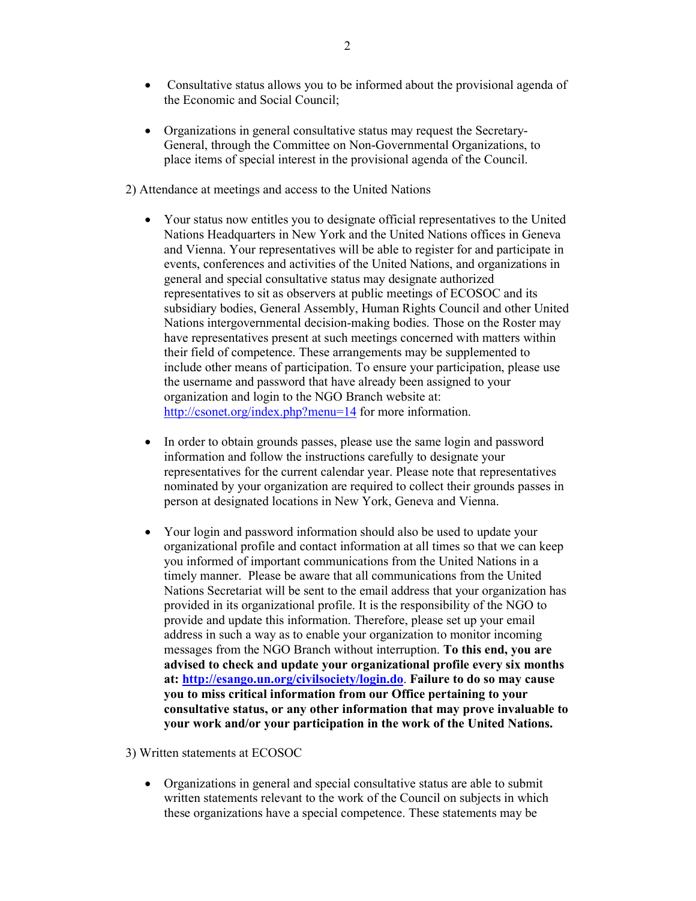- Consultative status allows you to be informed about the provisional agenda of the Economic and Social Council;
- Organizations in general consultative status may request the Secretary-General, through the Committee on Non-Governmental Organizations, to place items of special interest in the provisional agenda of the Council.
- 2) Attendance at meetings and access to the United Nations
	- Your status now entitles you to designate official representatives to the United Nations Headquarters in New York and the United Nations offices in Geneva and Vienna. Your representatives will be able to register for and participate in events, conferences and activities of the United Nations, and organizations in general and special consultative status may designate authorized representatives to sit as observers at public meetings of ECOSOC and its subsidiary bodies, General Assembly, Human Rights Council and other United Nations intergovernmental decision-making bodies. Those on the Roster may have representatives present at such meetings concerned with matters within their field of competence. These arrangements may be supplemented to include other means of participation. To ensure your participation, please use the username and password that have already been assigned to your organization and login to the NGO Branch website at: http://csonet.org/index.php?menu=14 for more information.
	- In order to obtain grounds passes, please use the same login and password information and follow the instructions carefully to designate your representatives for the current calendar year. Please note that representatives nominated by your organization are required to collect their grounds passes in person at designated locations in New York, Geneva and Vienna.
	- Your login and password information should also be used to update your organizational profile and contact information at all times so that we can keep you informed of important communications from the United Nations in a timely manner. Please be aware that all communications from the United Nations Secretariat will be sent to the email address that your organization has provided in its organizational profile. It is the responsibility of the NGO to provide and update this information. Therefore, please set up your email address in such a way as to enable your organization to monitor incoming messages from the NGO Branch without interruption. **To this end, you are advised to check and update your organizational profile every six months at: http://esango.un.org/civilsociety/login.do**. **Failure to do so may cause you to miss critical information from our Office pertaining to your consultative status, or any other information that may prove invaluable to your work and/or your participation in the work of the United Nations.**
- 3) Written statements at ECOSOC
	- Organizations in general and special consultative status are able to submit written statements relevant to the work of the Council on subjects in which these organizations have a special competence. These statements may be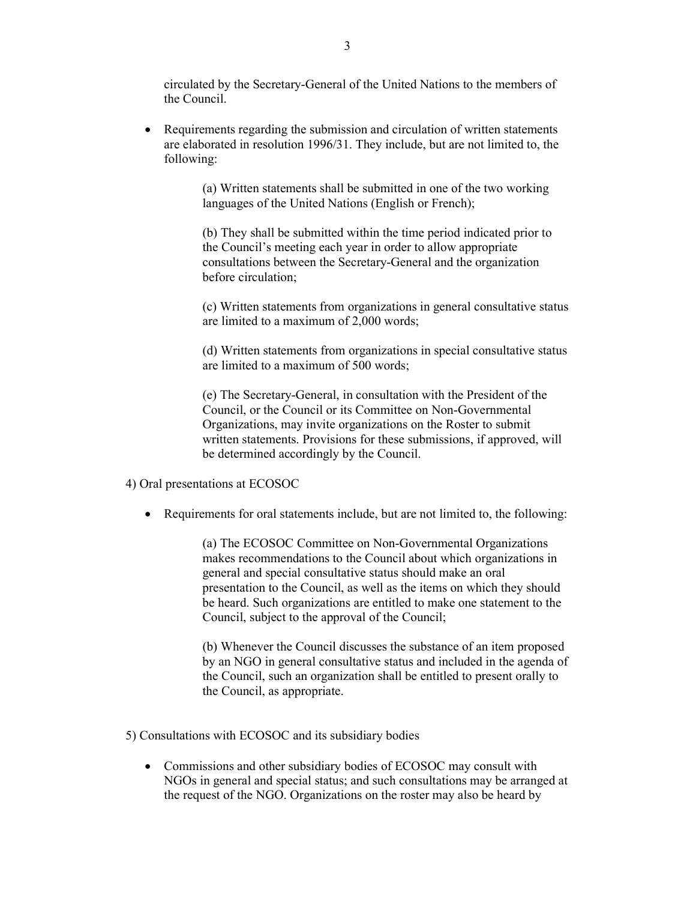circulated by the Secretary-General of the United Nations to the members of the Council.

• Requirements regarding the submission and circulation of written statements are elaborated in resolution 1996/31. They include, but are not limited to, the following:

> (a) Written statements shall be submitted in one of the two working languages of the United Nations (English or French);

(b) They shall be submitted within the time period indicated prior to the Council's meeting each year in order to allow appropriate consultations between the Secretary-General and the organization before circulation;

(c) Written statements from organizations in general consultative status are limited to a maximum of 2,000 words;

(d) Written statements from organizations in special consultative status are limited to a maximum of 500 words;

(e) The Secretary-General, in consultation with the President of the Council, or the Council or its Committee on Non-Governmental Organizations, may invite organizations on the Roster to submit written statements. Provisions for these submissions, if approved, will be determined accordingly by the Council.

4) Oral presentations at ECOSOC

• Requirements for oral statements include, but are not limited to, the following:

(a) The ECOSOC Committee on Non-Governmental Organizations makes recommendations to the Council about which organizations in general and special consultative status should make an oral presentation to the Council, as well as the items on which they should be heard. Such organizations are entitled to make one statement to the Council, subject to the approval of the Council;

(b) Whenever the Council discusses the substance of an item proposed by an NGO in general consultative status and included in the agenda of the Council, such an organization shall be entitled to present orally to the Council, as appropriate.

5) Consultations with ECOSOC and its subsidiary bodies

• Commissions and other subsidiary bodies of ECOSOC may consult with NGOs in general and special status; and such consultations may be arranged at the request of the NGO. Organizations on the roster may also be heard by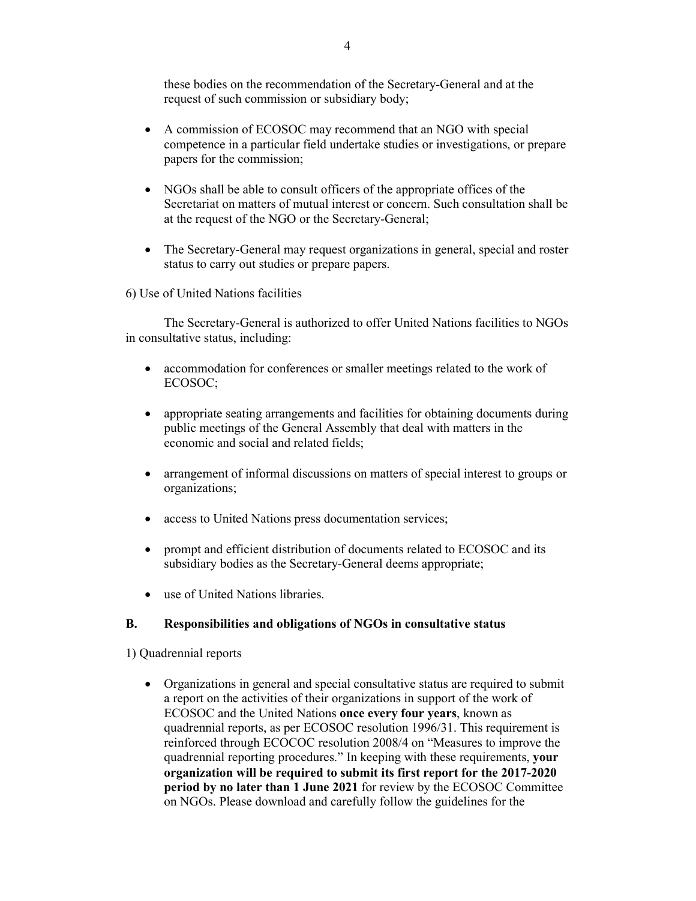these bodies on the recommendation of the Secretary-General and at the request of such commission or subsidiary body;

- A commission of ECOSOC may recommend that an NGO with special competence in a particular field undertake studies or investigations, or prepare papers for the commission;
- NGOs shall be able to consult officers of the appropriate offices of the Secretariat on matters of mutual interest or concern. Such consultation shall be at the request of the NGO or the Secretary-General;
- The Secretary-General may request organizations in general, special and roster status to carry out studies or prepare papers.

6) Use of United Nations facilities

The Secretary-General is authorized to offer United Nations facilities to NGOs in consultative status, including:

- accommodation for conferences or smaller meetings related to the work of ECOSOC;
- appropriate seating arrangements and facilities for obtaining documents during public meetings of the General Assembly that deal with matters in the economic and social and related fields;
- arrangement of informal discussions on matters of special interest to groups or organizations;
- access to United Nations press documentation services;
- prompt and efficient distribution of documents related to ECOSOC and its subsidiary bodies as the Secretary-General deems appropriate;
- use of United Nations libraries.

## **B. Responsibilities and obligations of NGOs in consultative status**

1) Quadrennial reports

• Organizations in general and special consultative status are required to submit a report on the activities of their organizations in support of the work of ECOSOC and the United Nations **once every four years**, known as quadrennial reports, as per ECOSOC resolution 1996/31. This requirement is reinforced through ECOCOC resolution 2008/4 on "Measures to improve the quadrennial reporting procedures." In keeping with these requirements, **your organization will be required to submit its first report for the 2017-2020 period by no later than 1 June 2021** for review by the ECOSOC Committee on NGOs. Please download and carefully follow the guidelines for the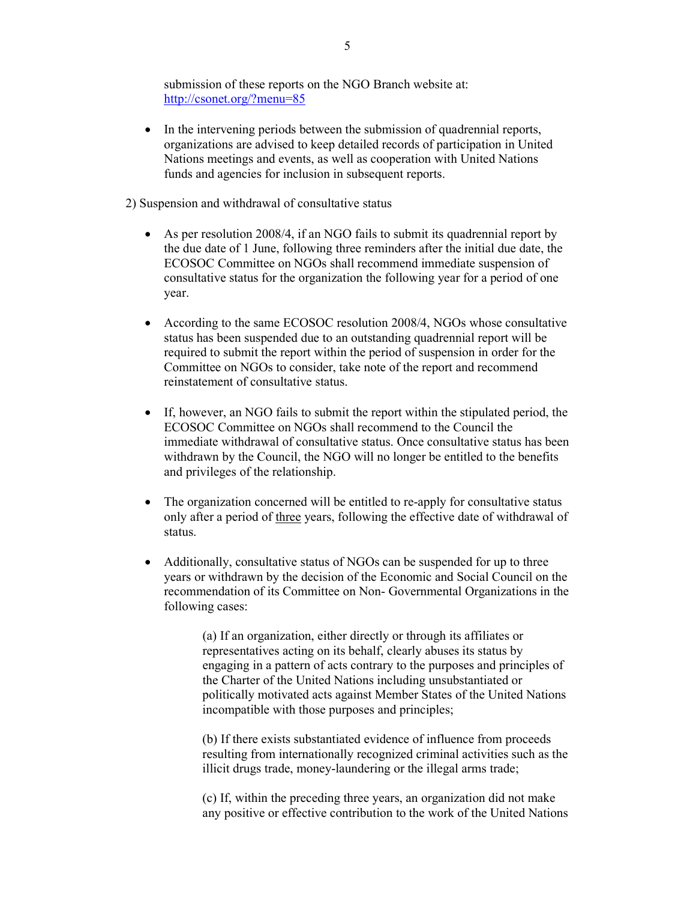submission of these reports on the NGO Branch website at: http://csonet.org/?menu=85

- In the intervening periods between the submission of quadrennial reports, organizations are advised to keep detailed records of participation in United Nations meetings and events, as well as cooperation with United Nations funds and agencies for inclusion in subsequent reports.
- 2) Suspension and withdrawal of consultative status
	- As per resolution 2008/4, if an NGO fails to submit its quadrennial report by the due date of 1 June, following three reminders after the initial due date, the ECOSOC Committee on NGOs shall recommend immediate suspension of consultative status for the organization the following year for a period of one year.
	- According to the same ECOSOC resolution 2008/4, NGOs whose consultative status has been suspended due to an outstanding quadrennial report will be required to submit the report within the period of suspension in order for the Committee on NGOs to consider, take note of the report and recommend reinstatement of consultative status.
	- If, however, an NGO fails to submit the report within the stipulated period, the ECOSOC Committee on NGOs shall recommend to the Council the immediate withdrawal of consultative status. Once consultative status has been withdrawn by the Council, the NGO will no longer be entitled to the benefits and privileges of the relationship.
	- The organization concerned will be entitled to re-apply for consultative status only after a period of three years, following the effective date of withdrawal of status.
	- Additionally, consultative status of NGOs can be suspended for up to three years or withdrawn by the decision of the Economic and Social Council on the recommendation of its Committee on Non- Governmental Organizations in the following cases:

(a) If an organization, either directly or through its affiliates or representatives acting on its behalf, clearly abuses its status by engaging in a pattern of acts contrary to the purposes and principles of the Charter of the United Nations including unsubstantiated or politically motivated acts against Member States of the United Nations incompatible with those purposes and principles;

(b) If there exists substantiated evidence of influence from proceeds resulting from internationally recognized criminal activities such as the illicit drugs trade, money-laundering or the illegal arms trade;

(c) If, within the preceding three years, an organization did not make any positive or effective contribution to the work of the United Nations